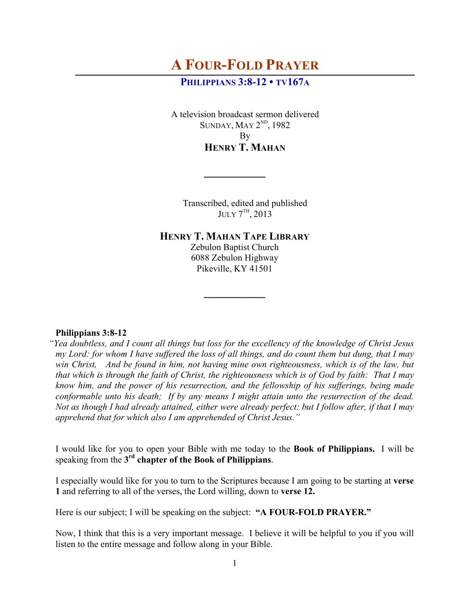# **A FOUR-FOLD PRAYER**

## **PHILIPPIANS 3:8-12 • TV167A**

A television broadcast sermon delivered SUNDAY, MAY 2<sup>ND</sup>, 1982 By **HENRY T. MAHAN**

Transcribed, edited and published  $JULY 7<sup>TH</sup>, 2013$ 

**HENRY T. MAHAN TAPE LIBRARY**

**\_\_\_\_\_\_\_\_\_\_**

Zebulon Baptist Church 6088 Zebulon Highway Pikeville, KY 41501

**\_\_\_\_\_\_\_\_\_\_**

## **Philippians 3:8-12**

*"Yea doubtless, and I count all things but loss for the excellency of the knowledge of Christ Jesus my Lord: for whom I have suffered the loss of all things, and do count them but dung, that I may win Christ, And be found in him, not having mine own righteousness, which is of the law, but that which is through the faith of Christ, the righteousness which is of God by faith: That I may know him, and the power of his resurrection, and the fellowship of his sufferings, being made conformable unto his death; If by any means I might attain unto the resurrection of the dead. Not as though I had already attained, either were already perfect: but I follow after, if that I may apprehend that for which also I am apprehended of Christ Jesus."*

I would like for you to open your Bible with me today to the **Book of Philippians.** I will be speaking from the **3rd chapter of the Book of Philippians**.

I especially would like for you to turn to the Scriptures because I am going to be starting at **verse 1** and referring to all of the verses, the Lord willing, down to **verse 12.**

Here is our subject; I will be speaking on the subject: **"A FOUR-FOLD PRAYER."** 

Now, I think that this is a very important message. I believe it will be helpful to you if you will listen to the entire message and follow along in your Bible.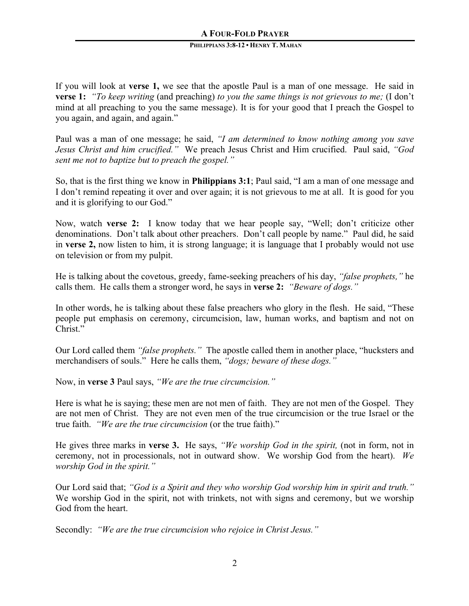If you will look at **verse 1,** we see that the apostle Paul is a man of one message. He said in **verse 1:** *"To keep writing* (and preaching) *to you the same things is not grievous to me;* (I don't mind at all preaching to you the same message). It is for your good that I preach the Gospel to you again, and again, and again."

Paul was a man of one message; he said, *"I am determined to know nothing among you save Jesus Christ and him crucified."* We preach Jesus Christ and Him crucified. Paul said, *"God sent me not to baptize but to preach the gospel."*

So, that is the first thing we know in **Philippians 3:1**; Paul said, "I am a man of one message and I don't remind repeating it over and over again; it is not grievous to me at all. It is good for you and it is glorifying to our God."

Now, watch **verse 2:** I know today that we hear people say, "Well; don't criticize other denominations. Don't talk about other preachers. Don't call people by name." Paul did, he said in **verse 2,** now listen to him, it is strong language; it is language that I probably would not use on television or from my pulpit.

He is talking about the covetous, greedy, fame-seeking preachers of his day, *"false prophets,"* he calls them. He calls them a stronger word, he says in **verse 2:** *"Beware of dogs."*

In other words, he is talking about these false preachers who glory in the flesh. He said, "These people put emphasis on ceremony, circumcision, law, human works, and baptism and not on Christ."

Our Lord called them *"false prophets."* The apostle called them in another place, "hucksters and merchandisers of souls." Here he calls them, *"dogs; beware of these dogs."*

Now, in **verse 3** Paul says, *"We are the true circumcision."*

Here is what he is saying; these men are not men of faith. They are not men of the Gospel. They are not men of Christ. They are not even men of the true circumcision or the true Israel or the true faith. *"We are the true circumcision* (or the true faith)."

He gives three marks in **verse 3.** He says, *"We worship God in the spirit,* (not in form, not in ceremony, not in processionals, not in outward show. We worship God from the heart). *We worship God in the spirit."*

Our Lord said that; *"God is a Spirit and they who worship God worship him in spirit and truth."* We worship God in the spirit, not with trinkets, not with signs and ceremony, but we worship God from the heart.

Secondly: *"We are the true circumcision who rejoice in Christ Jesus."*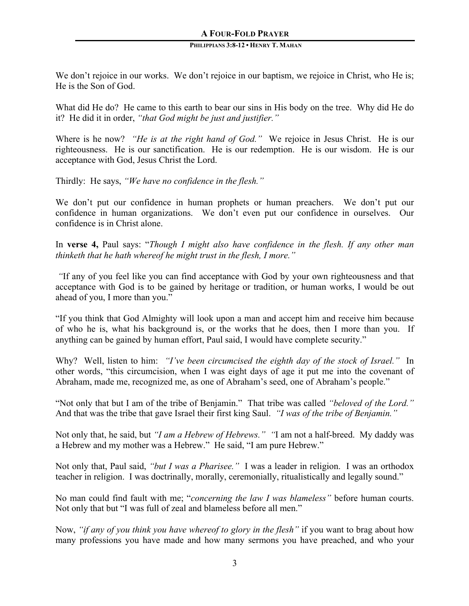We don't rejoice in our works. We don't rejoice in our baptism, we rejoice in Christ, who He is; He is the Son of God.

What did He do? He came to this earth to bear our sins in His body on the tree. Why did He do it? He did it in order, *"that God might be just and justifier."*

Where is he now? *"He is at the right hand of God."* We rejoice in Jesus Christ. He is our righteousness. He is our sanctification. He is our redemption. He is our wisdom. He is our acceptance with God, Jesus Christ the Lord.

Thirdly: He says, *"We have no confidence in the flesh."* 

We don't put our confidence in human prophets or human preachers. We don't put our confidence in human organizations. We don't even put our confidence in ourselves. Our confidence is in Christ alone.

In **verse 4,** Paul says: "*Though I might also have confidence in the flesh. If any other man thinketh that he hath whereof he might trust in the flesh, I more."*

*"*If any of you feel like you can find acceptance with God by your own righteousness and that acceptance with God is to be gained by heritage or tradition, or human works, I would be out ahead of you, I more than you."

"If you think that God Almighty will look upon a man and accept him and receive him because of who he is, what his background is, or the works that he does, then I more than you. If anything can be gained by human effort, Paul said, I would have complete security."

Why? Well, listen to him: *"I've been circumcised the eighth day of the stock of Israel."* In other words, "this circumcision, when I was eight days of age it put me into the covenant of Abraham, made me, recognized me, as one of Abraham's seed, one of Abraham's people."

"Not only that but I am of the tribe of Benjamin." That tribe was called *"beloved of the Lord."* And that was the tribe that gave Israel their first king Saul. *"I was of the tribe of Benjamin."*

Not only that, he said, but *"I am a Hebrew of Hebrews." "*I am not a half-breed. My daddy was a Hebrew and my mother was a Hebrew."He said, "I am pure Hebrew."

Not only that, Paul said, *"but I was a Pharisee."* I was a leader in religion. I was an orthodox teacher in religion. I was doctrinally, morally, ceremonially, ritualistically and legally sound."

No man could find fault with me; "*concerning the law I was blameless"* before human courts. Not only that but "I was full of zeal and blameless before all men."

Now, *"if any of you think you have whereof to glory in the flesh"* if you want to brag about how many professions you have made and how many sermons you have preached, and who your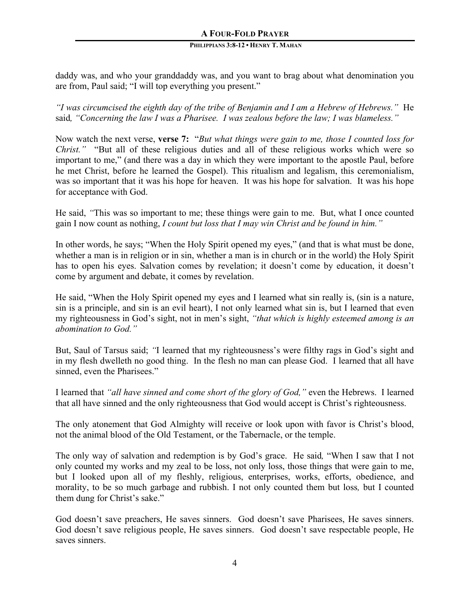daddy was, and who your granddaddy was, and you want to brag about what denomination you are from, Paul said; "I will top everything you present."

*"I was circumcised the eighth day of the tribe of Benjamin and I am a Hebrew of Hebrews."* He said*, "Concerning the law I was a Pharisee. I was zealous before the law; I was blameless."*

Now watch the next verse, **verse 7:** "*But what things were gain to me, those I counted loss for Christ.*" "But all of these religious duties and all of these religious works which were so important to me," (and there was a day in which they were important to the apostle Paul, before he met Christ, before he learned the Gospel). This ritualism and legalism, this ceremonialism, was so important that it was his hope for heaven. It was his hope for salvation. It was his hope for acceptance with God.

He said, *"*This was so important to me; these things were gain to me. But, what I once counted gain I now count as nothing, *I count but loss that I may win Christ and be found in him."*

In other words, he says; "When the Holy Spirit opened my eyes," (and that is what must be done, whether a man is in religion or in sin, whether a man is in church or in the world) the Holy Spirit has to open his eyes. Salvation comes by revelation; it doesn't come by education, it doesn't come by argument and debate, it comes by revelation.

He said, "When the Holy Spirit opened my eyes and I learned what sin really is, (sin is a nature, sin is a principle, and sin is an evil heart), I not only learned what sin is, but I learned that even my righteousness in God's sight, not in men's sight, *"that which is highly esteemed among is an abomination to God."*

But, Saul of Tarsus said; *"*I learned that my righteousness's were filthy rags in God's sight and in my flesh dwelleth no good thing. In the flesh no man can please God. I learned that all have sinned, even the Pharisees."

I learned that *"all have sinned and come short of the glory of God,"* even the Hebrews. I learned that all have sinned and the only righteousness that God would accept is Christ's righteousness.

The only atonement that God Almighty will receive or look upon with favor is Christ's blood, not the animal blood of the Old Testament, or the Tabernacle, or the temple.

The only way of salvation and redemption is by God's grace. He said*,* "When I saw that I not only counted my works and my zeal to be loss, not only loss, those things that were gain to me, but I looked upon all of my fleshly, religious, enterprises, works, efforts, obedience, and morality, to be so much garbage and rubbish. I not only counted them but loss*,* but I counted them dung for Christ's sake."

God doesn't save preachers, He saves sinners. God doesn't save Pharisees, He saves sinners. God doesn't save religious people, He saves sinners. God doesn't save respectable people, He saves sinners.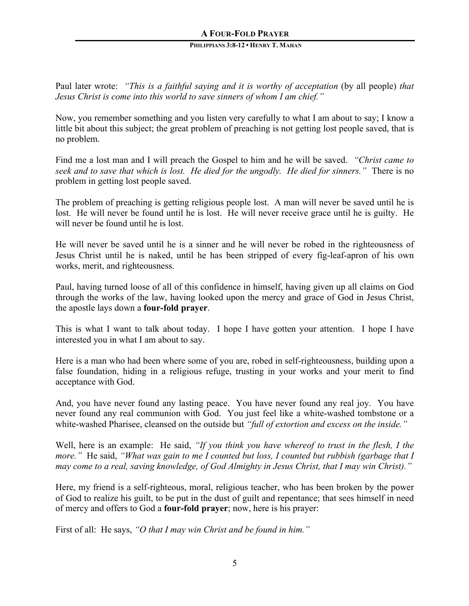Paul later wrote: *"This is a faithful saying and it is worthy of acceptation* (by all people) *that Jesus Christ is come into this world to save sinners of whom I am chief."*

Now, you remember something and you listen very carefully to what I am about to say; I know a little bit about this subject; the great problem of preaching is not getting lost people saved, that is no problem.

Find me a lost man and I will preach the Gospel to him and he will be saved. *"Christ came to seek and to save that which is lost. He died for the ungodly. He died for sinners."* There is no problem in getting lost people saved.

The problem of preaching is getting religious people lost. A man will never be saved until he is lost. He will never be found until he is lost. He will never receive grace until he is guilty. He will never be found until he is lost.

He will never be saved until he is a sinner and he will never be robed in the righteousness of Jesus Christ until he is naked, until he has been stripped of every fig-leaf-apron of his own works, merit, and righteousness.

Paul, having turned loose of all of this confidence in himself, having given up all claims on God through the works of the law, having looked upon the mercy and grace of God in Jesus Christ, the apostle lays down a **four-fold prayer**.

This is what I want to talk about today. I hope I have gotten your attention. I hope I have interested you in what I am about to say.

Here is a man who had been where some of you are, robed in self-righteousness, building upon a false foundation, hiding in a religious refuge, trusting in your works and your merit to find acceptance with God.

And, you have never found any lasting peace. You have never found any real joy. You have never found any real communion with God. You just feel like a white-washed tombstone or a white-washed Pharisee, cleansed on the outside but *"full of extortion and excess on the inside."*

Well, here is an example: He said, *"If you think you have whereof to trust in the flesh, I the more."* He said, *"What was gain to me I counted but loss, I counted but rubbish (garbage that I may come to a real, saving knowledge, of God Almighty in Jesus Christ, that I may win Christ)."*

Here, my friend is a self-righteous, moral, religious teacher, who has been broken by the power of God to realize his guilt, to be put in the dust of guilt and repentance; that sees himself in need of mercy and offers to God a **four-fold prayer**; now, here is his prayer:

First of all: He says, *"O that I may win Christ and be found in him."*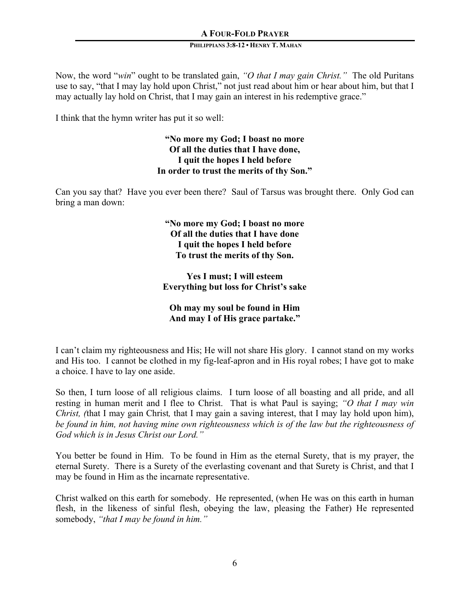Now, the word "*win*" ought to be translated gain, *"O that I may gain Christ."* The old Puritans use to say, "that I may lay hold upon Christ," not just read about him or hear about him, but that I may actually lay hold on Christ, that I may gain an interest in his redemptive grace."

I think that the hymn writer has put it so well:

**"No more my God; I boast no more Of all the duties that I have done, I quit the hopes I held before In order to trust the merits of thy Son."**

Can you say that? Have you ever been there? Saul of Tarsus was brought there. Only God can bring a man down:

> **"No more my God; I boast no more Of all the duties that I have done I quit the hopes I held before To trust the merits of thy Son.**

**Yes I must; I will esteem Everything but loss for Christ's sake**

## **Oh may my soul be found in Him And may I of His grace partake."**

I can't claim my righteousness and His; He will not share His glory. I cannot stand on my works and His too. I cannot be clothed in my fig-leaf-apron and in His royal robes; I have got to make a choice. I have to lay one aside.

So then, I turn loose of all religious claims. I turn loose of all boasting and all pride, and all resting in human merit and I flee to Christ. That is what Paul is saying; *"O that I may win Christ, (*that I may gain Christ*,* that I may gain a saving interest, that I may lay hold upon him), *be found in him, not having mine own righteousness which is of the law but the righteousness of God which is in Jesus Christ our Lord."*

You better be found in Him. To be found in Him as the eternal Surety, that is my prayer, the eternal Surety. There is a Surety of the everlasting covenant and that Surety is Christ, and that I may be found in Him as the incarnate representative.

Christ walked on this earth for somebody. He represented, (when He was on this earth in human flesh, in the likeness of sinful flesh, obeying the law, pleasing the Father) He represented somebody, *"that I may be found in him."*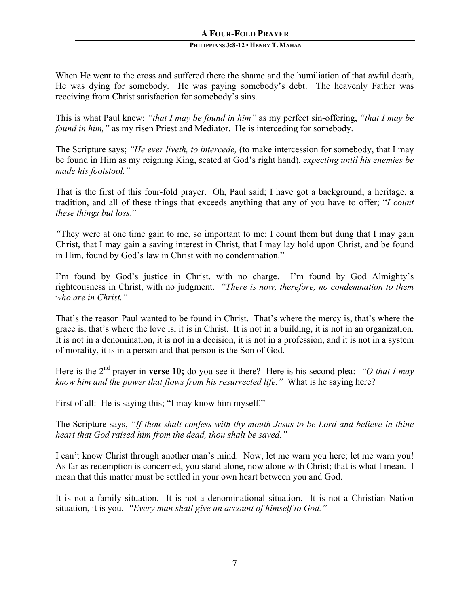When He went to the cross and suffered there the shame and the humiliation of that awful death, He was dying for somebody. He was paying somebody's debt. The heavenly Father was receiving from Christ satisfaction for somebody's sins.

This is what Paul knew; *"that I may be found in him"* as my perfect sin-offering, *"that I may be found in him,"* as my risen Priest and Mediator. He is interceding for somebody.

The Scripture says; *"He ever liveth, to intercede,* (to make intercession for somebody, that I may be found in Him as my reigning King, seated at God's right hand), *expecting until his enemies be made his footstool."*

That is the first of this four-fold prayer. Oh, Paul said; I have got a background, a heritage, a tradition, and all of these things that exceeds anything that any of you have to offer; "*I count these things but loss*."

*"*They were at one time gain to me, so important to me; I count them but dung that I may gain Christ, that I may gain a saving interest in Christ, that I may lay hold upon Christ, and be found in Him, found by God's law in Christ with no condemnation."

I'm found by God's justice in Christ, with no charge. I'm found by God Almighty's righteousness in Christ, with no judgment. *"There is now, therefore, no condemnation to them who are in Christ."* 

That's the reason Paul wanted to be found in Christ. That's where the mercy is, that's where the grace is, that's where the love is, it is in Christ. It is not in a building, it is not in an organization. It is not in a denomination, it is not in a decision, it is not in a profession, and it is not in a system of morality, it is in a person and that person is the Son of God.

Here is the 2nd prayer in **verse 10;** do you see it there? Here is his second plea: *"O that I may know him and the power that flows from his resurrected life."* What is he saying here?

First of all: He is saying this; "I may know him myself."

The Scripture says, *"If thou shalt confess with thy mouth Jesus to be Lord and believe in thine heart that God raised him from the dead, thou shalt be saved."*

I can't know Christ through another man's mind. Now, let me warn you here; let me warn you! As far as redemption is concerned, you stand alone, now alone with Christ; that is what I mean. I mean that this matter must be settled in your own heart between you and God.

It is not a family situation. It is not a denominational situation. It is not a Christian Nation situation, it is you. *"Every man shall give an account of himself to God."*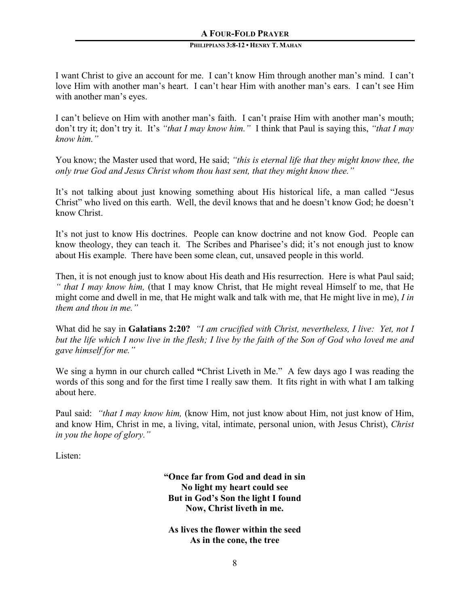I want Christ to give an account for me. I can't know Him through another man's mind. I can't love Him with another man's heart. I can't hear Him with another man's ears. I can't see Him with another man's eyes.

I can't believe on Him with another man's faith. I can't praise Him with another man's mouth; don't try it; don't try it. It's *"that I may know him."* I think that Paul is saying this, *"that I may know him."*

You know; the Master used that word, He said; *"this is eternal life that they might know thee, the only true God and Jesus Christ whom thou hast sent, that they might know thee."*

It's not talking about just knowing something about His historical life, a man called "Jesus Christ" who lived on this earth. Well, the devil knows that and he doesn't know God; he doesn't know Christ.

It's not just to know His doctrines. People can know doctrine and not know God. People can know theology, they can teach it. The Scribes and Pharisee's did; it's not enough just to know about His example. There have been some clean, cut, unsaved people in this world.

Then, it is not enough just to know about His death and His resurrection. Here is what Paul said; *" that I may know him,* (that I may know Christ, that He might reveal Himself to me, that He might come and dwell in me, that He might walk and talk with me, that He might live in me), *I in them and thou in me."*

What did he say in **Galatians 2:20?** *"I am crucified with Christ, nevertheless, I live: Yet, not I but the life which I now live in the flesh; I live by the faith of the Son of God who loved me and gave himself for me."*

We sing a hymn in our church called **"**Christ Liveth in Me." A few days ago I was reading the words of this song and for the first time I really saw them. It fits right in with what I am talking about here.

Paul said: *"that I may know him,* (know Him, not just know about Him, not just know of Him, and know Him, Christ in me, a living, vital, intimate, personal union, with Jesus Christ), *Christ in you the hope of glory."*

Listen:

**"Once far from God and dead in sin No light my heart could see But in God's Son the light I found Now, Christ liveth in me.**

**As lives the flower within the seed As in the cone, the tree**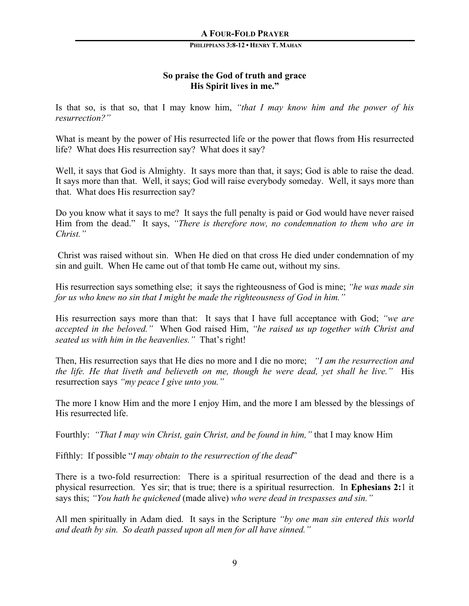## **So praise the God of truth and grace His Spirit lives in me."**

Is that so, is that so, that I may know him, *"that I may know him and the power of his resurrection?"*

What is meant by the power of His resurrected life or the power that flows from His resurrected life? What does His resurrection say? What does it say?

Well, it says that God is Almighty. It says more than that, it says; God is able to raise the dead. It says more than that. Well, it says; God will raise everybody someday. Well, it says more than that. What does His resurrection say?

Do you know what it says to me? It says the full penalty is paid or God would have never raised Him from the dead." It says, *"There is therefore now, no condemnation to them who are in Christ."* 

Christ was raised without sin. When He died on that cross He died under condemnation of my sin and guilt. When He came out of that tomb He came out, without my sins.

His resurrection says something else; it says the righteousness of God is mine; *"he was made sin for us who knew no sin that I might be made the righteousness of God in him."*

His resurrection says more than that: It says that I have full acceptance with God; *"we are accepted in the beloved."* When God raised Him, *"he raised us up together with Christ and seated us with him in the heavenlies."* That's right!

Then, His resurrection says that He dies no more and I die no more; *"I am the resurrection and the life. He that liveth and believeth on me, though he were dead, yet shall he live.*" His resurrection says *"my peace I give unto you."*

The more I know Him and the more I enjoy Him, and the more I am blessed by the blessings of His resurrected life.

Fourthly: *"That I may win Christ, gain Christ, and be found in him,"* that I may know Him

Fifthly: If possible "*I may obtain to the resurrection of the dead*"

There is a two-fold resurrection: There is a spiritual resurrection of the dead and there is a physical resurrection. Yes sir; that is true; there is a spiritual resurrection. In **Ephesians 2:**1 it says this; *"You hath he quickened* (made alive) *who were dead in trespasses and sin."*

All men spiritually in Adam died. It says in the Scripture *"by one man sin entered this world and death by sin. So death passed upon all men for all have sinned."*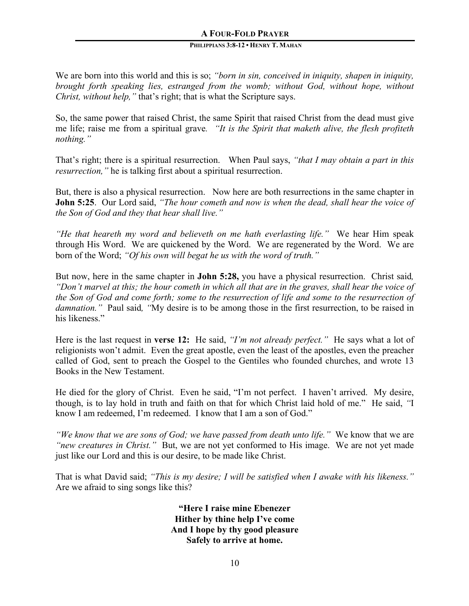## **A FOUR-FOLD PRAYER**

#### **PHILIPPIANS 3:8-12 • HENRY T. MAHAN**

We are born into this world and this is so; *"born in sin, conceived in iniquity, shapen in iniquity, brought forth speaking lies, estranged from the womb; without God, without hope, without Christ, without help,"* that's right; that is what the Scripture says.

So, the same power that raised Christ, the same Spirit that raised Christ from the dead must give me life; raise me from a spiritual grave*. "It is the Spirit that maketh alive, the flesh profiteth nothing."*

That's right; there is a spiritual resurrection. When Paul says, *"that I may obtain a part in this resurrection,"* he is talking first about a spiritual resurrection.

But, there is also a physical resurrection. Now here are both resurrections in the same chapter in **John 5:25**. Our Lord said, *"The hour cometh and now is when the dead, shall hear the voice of the Son of God and they that hear shall live."*

*"He that heareth my word and believeth on me hath everlasting life."* We hear Him speak through His Word. We are quickened by the Word. We are regenerated by the Word. We are born of the Word; *"Of his own will begat he us with the word of truth."*

But now, here in the same chapter in **John 5:28,** you have a physical resurrection. Christ said*, "Don't marvel at this; the hour cometh in which all that are in the graves, shall hear the voice of the Son of God and come forth; some to the resurrection of life and some to the resurrection of damnation."* Paul said*, "*My desire is to be among those in the first resurrection, to be raised in his likeness."

Here is the last request in **verse 12:** He said, *"I'm not already perfect."* He says what a lot of religionists won't admit. Even the great apostle, even the least of the apostles, even the preacher called of God, sent to preach the Gospel to the Gentiles who founded churches, and wrote 13 Books in the New Testament.

He died for the glory of Christ. Even he said, "I'm not perfect. I haven't arrived. My desire, though, is to lay hold in truth and faith on that for which Christ laid hold of me." He said, *"*I know I am redeemed, I'm redeemed. I know that I am a son of God."

*"We know that we are sons of God; we have passed from death unto life."* We know that we are *"new creatures in Christ."* But, we are not yet conformed to His image. We are not yet made just like our Lord and this is our desire, to be made like Christ.

That is what David said; *"This is my desire; I will be satisfied when I awake with his likeness."* Are we afraid to sing songs like this?

> **"Here I raise mine Ebenezer Hither by thine help I've come And I hope by thy good pleasure Safely to arrive at home.**